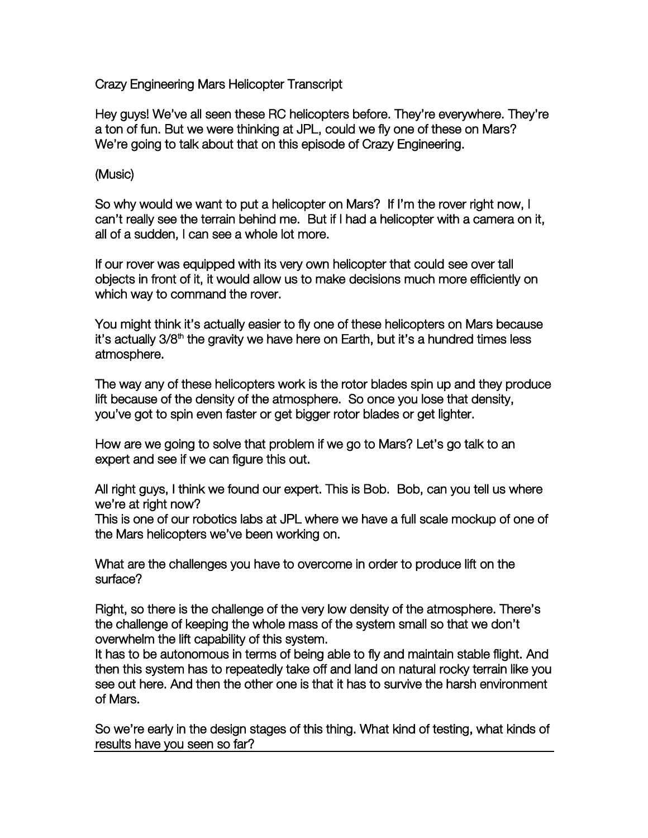Crazy Engineering Mars Helicopter Transcript

Hey guys! We've all seen these RC helicopters before. They're everywhere. They're a ton of fun. But we were thinking at JPL, could we fly one of these on Mars? We're going to talk about that on this episode of Crazy Engineering.

## (Music)

So why would we want to put a helicopter on Mars? If I'm the rover right now, I can't really see the terrain behind me. But if I had a helicopter with a camera on it, all of a sudden, I can see a whole lot more.

If our rover was equipped with its very own helicopter that could see over tall objects in front of it, it would allow us to make decisions much more efficiently on which way to command the rover.

You might think it's actually easier to fly one of these helicopters on Mars because it's actually 3/8<sup>th</sup> the gravity we have here on Earth, but it's a hundred times less atmosphere.

The way any of these helicopters work is the rotor blades spin up and they produce lift because of the density of the atmosphere. So once you lose that density, you've got to spin even faster or get bigger rotor blades or get lighter.

How are we going to solve that problem if we go to Mars? Let's go talk to an expert and see if we can figure this out.

All right guys, I think we found our expert. This is Bob. Bob, can you tell us where we're at right now?

This is one of our robotics labs at JPL where we have a full scale mockup of one of the Mars helicopters we've been working on.

What are the challenges you have to overcome in order to produce lift on the surface?

Right, so there is the challenge of the very low density of the atmosphere. There's the challenge of keeping the whole mass of the system small so that we don't overwhelm the lift capability of this system.

It has to be autonomous in terms of being able to fly and maintain stable flight. And then this system has to repeatedly take off and land on natural rocky terrain like you see out here. And then the other one is that it has to survive the harsh environment of Mars.

So we're early in the design stages of this thing. What kind of testing, what kinds of results have you seen so far?